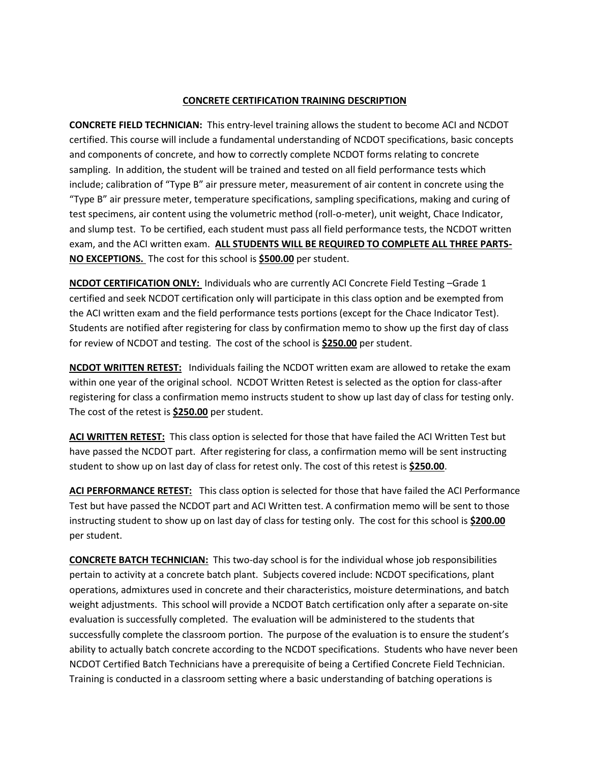## **CONCRETE CERTIFICATION TRAINING DESCRIPTION**

**CONCRETE FIELD TECHNICIAN:** This entry-level training allows the student to become ACI and NCDOT certified. This course will include a fundamental understanding of NCDOT specifications, basic concepts and components of concrete, and how to correctly complete NCDOT forms relating to concrete sampling. In addition, the student will be trained and tested on all field performance tests which include; calibration of "Type B" air pressure meter, measurement of air content in concrete using the "Type B" air pressure meter, temperature specifications, sampling specifications, making and curing of test specimens, air content using the volumetric method (roll-o-meter), unit weight, Chace Indicator, and slump test. To be certified, each student must pass all field performance tests, the NCDOT written exam, and the ACI written exam. **ALL STUDENTS WILL BE REQUIRED TO COMPLETE ALL THREE PARTS-NO EXCEPTIONS.** The cost for this school is **\$500.00** per student.

**NCDOT CERTIFICATION ONLY:** Individuals who are currently ACI Concrete Field Testing –Grade 1 certified and seek NCDOT certification only will participate in this class option and be exempted from the ACI written exam and the field performance tests portions (except for the Chace Indicator Test). Students are notified after registering for class by confirmation memo to show up the first day of class for review of NCDOT and testing. The cost of the school is **\$250.00** per student.

**NCDOT WRITTEN RETEST:** Individuals failing the NCDOT written exam are allowed to retake the exam within one year of the original school. NCDOT Written Retest is selected as the option for class-after registering for class a confirmation memo instructs student to show up last day of class for testing only. The cost of the retest is **\$250.00** per student.

**ACI WRITTEN RETEST:** This class option is selected for those that have failed the ACI Written Test but have passed the NCDOT part. After registering for class, a confirmation memo will be sent instructing student to show up on last day of class for retest only. The cost of this retest is **\$250.00**.

**ACI PERFORMANCE RETEST:** This class option is selected for those that have failed the ACI Performance Test but have passed the NCDOT part and ACI Written test. A confirmation memo will be sent to those instructing student to show up on last day of class for testing only. The cost for this school is **\$200.00** per student.

**CONCRETE BATCH TECHNICIAN:** This two-day school is for the individual whose job responsibilities pertain to activity at a concrete batch plant. Subjects covered include: NCDOT specifications, plant operations, admixtures used in concrete and their characteristics, moisture determinations, and batch weight adjustments. This school will provide a NCDOT Batch certification only after a separate on-site evaluation is successfully completed. The evaluation will be administered to the students that successfully complete the classroom portion. The purpose of the evaluation is to ensure the student's ability to actually batch concrete according to the NCDOT specifications. Students who have never been NCDOT Certified Batch Technicians have a prerequisite of being a Certified Concrete Field Technician. Training is conducted in a classroom setting where a basic understanding of batching operations is